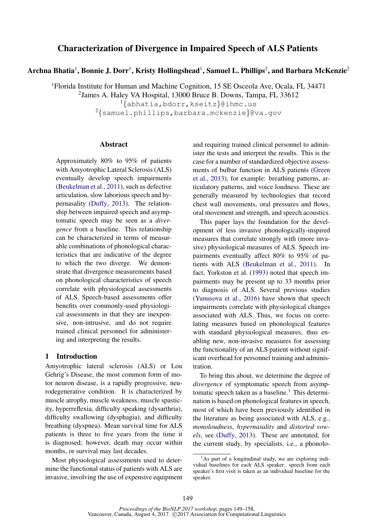# Characterization of Divergence in Impaired Speech of ALS Patients

Archna Bhatia $^1$ , Bonnie J. Dorr $^1$ , Kristy Hollingshead $^1$ , Samuel L. Phillips $^2$ , and Barbara McKenzie $^2$ 

<sup>1</sup>Florida Institute for Human and Machine Cognition, 15 SE Osceola Ave, Ocala, FL 34471

2 James A. Haley VA Hospital, 13000 Bruce B. Downs, Tampa, FL 33612

<sup>1</sup>{abhatia,bdorr,kseitz}@ihmc.us

 $^{2}$ {samuel.phillips,barbara.mckenzie}@va.gov

#### Abstract

Approximately 80% to 95% of patients with Amyotrophic Lateral Sclerosis (ALS) eventually develop speech impairments (Beukelman et al., 2011), such as defective articulation, slow laborious speech and hypernasality (Duffy, 2013). The relationship between impaired speech and asymptomatic speech may be seen as a *divergence* from a baseline. This relationship can be characterized in terms of measurable combinations of phonological characteristics that are indicative of the degree to which the two diverge. We demonstrate that divergence measurements based on phonological characteristics of speech correlate with physiological assessments of ALS. Speech-based assessments offer benefits over commonly-used physiological assessments in that they are inexpensive, non-intrusive, and do not require trained clinical personnel for administering and interpreting the results.

### 1 Introduction

Amyotrophic lateral sclerosis (ALS) or Lou Gehrig's Disease, the most common form of motor neuron disease, is a rapidly progressive, neurodegenerative condition. It is characterized by muscle atrophy, muscle weakness, muscle spasticity, hyperreflexia, difficulty speaking (dysarthria), difficulty swallowing (dysphagia), and difficulty breathing (dyspnea). Mean survival time for ALS patients is three to five years from the time it is diagnosed; however, death may occur within months, or survival may last decades.

Most physiological assessments used to determine the functional status of patients with ALS are invasive, involving the use of expensive equipment

and requiring trained clinical personnel to administer the tests and interpret the results. This is the case for a number of standardized objective assessments of bulbar function in ALS patients (Green et al., 2013), for example: breathing patterns, articulatory patterns, and voice loudness. These are generally measured by technologies that record chest wall movements, oral pressures and flows, oral movement and strength, and speech acoustics.

This paper lays the foundation for the development of less invasive phonologically-inspired measures that correlate strongly with (more invasive) physiological measures of ALS. Speech impairments eventually affect 80% to 95% of patients with ALS (Beukelman et al., 2011). In fact, Yorkston et al. (1993) noted that speech impairments may be present up to 33 months prior to diagnosis of ALS. Several previous studies (Yunusova et al., 2016) have shown that speech impairments correlate with physiological changes associated with ALS. Thus, we focus on correlating measures based on phonological features with standard physiological measures, thus enabling new, non-invasive measures for assessing the functionality of an ALS patient without significant overhead for personnel training and administration.

To bring this about, we determine the degree of *divergence* of symptomatic speech from asymptomatic speech taken as a baseline.<sup>1</sup> This determination is based on phonological features in speech, most of which have been previously identified in the literature as being associated with ALS, e.g., *monoloudness*, *hypernasality* and *distorted vowels*, see (Duffy, 2013). These are annotated, for the current study, by specialists, i.e., a phonolo-

 ${}^{1}$ As part of a longitudinal study, we are exploring individual baselines for each ALS speaker: speech from each speaker's first visit is taken as an individual baseline for the speaker.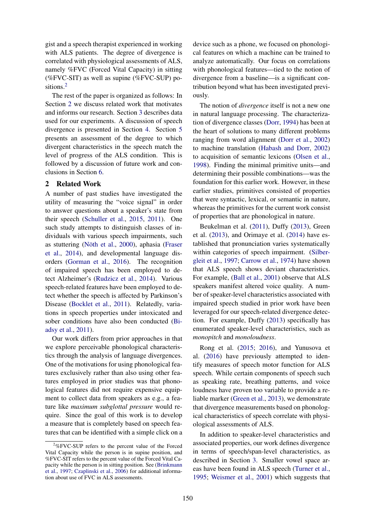gist and a speech therapist experienced in working with ALS patients. The degree of divergence is correlated with physiological assessments of ALS, namely %FVC (Forced Vital Capacity) in sitting (%FVC-SIT) as well as supine (%FVC-SUP) positions.<sup>2</sup>

The rest of the paper is organized as follows: In Section 2 we discuss related work that motivates and informs our research. Section 3 describes data used for our experiments. A discussion of speech divergence is presented in Section 4. Section 5 presents an assessment of the degree to which divergent characteristics in the speech match the level of progress of the ALS condition. This is followed by a discussion of future work and conclusions in Section 6.

### 2 Related Work

A number of past studies have investigated the utility of measuring the "voice signal" in order to answer questions about a speaker's state from their speech (Schuller et al., 2015, 2011). One such study attempts to distinguish classes of individuals with various speech impairments, such as stuttering (Nöth et al., 2000), aphasia (Fraser et al., 2014), and developmental language disorders (Gorman et al., 2016). The recognition of impaired speech has been employed to detect Alzheimer's (Rudzicz et al., 2014). Various speech-related features have been employed to detect whether the speech is affected by Parkinson's Disease (Bocklet et al., 2011). Relatedly, variations in speech properties under intoxicated and sober conditions have also been conducted (Biadsy et al., 2011).

Our work differs from prior approaches in that we explore perceivable phonological characteristics through the analysis of language divergences. One of the motivations for using phonological features exclusively rather than also using other features employed in prior studies was that phonological features did not require expensive equipment to collect data from speakers as e.g., a feature like *maximum subglottal pressure* would require. Since the goal of this work is to develop a measure that is completely based on speech features that can be identified with a simple click on a

device such as a phone, we focused on phonological features on which a machine can be trained to analyze automatically. Our focus on correlations with phonological features—tied to the notion of divergence from a baseline—is a significant contribution beyond what has been investigated previously.

The notion of *divergence* itself is not a new one in natural language processing. The characterization of divergence classes (Dorr, 1994) has been at the heart of solutions to many different problems ranging from word alignment (Dorr et al., 2002) to machine translation (Habash and Dorr, 2002) to acquisition of semantic lexicons (Olsen et al., 1998). Finding the minimal primitive units—and determining their possible combinations—was the foundation for this earlier work. However, in these earlier studies, primitives consisted of properties that were syntactic, lexical, or semantic in nature, whereas the primitives for the current work consist of properties that are phonological in nature.

Beukelman et al. (2011), Duffy (2013), Green et al. (2013), and Orimaye et al. (2014) have established that pronunciation varies systematically within categories of speech impairment. (Silbergleit et al., 1997; Carrow et al., 1974) have shown that ALS speech shows deviant characteristics. For example, (Ball et al., 2001) observe that ALS speakers manifest altered voice quality. A number of speaker-level characteristics associated with impaired speech studied in prior work have been leveraged for our speech-related divergence detection. For example, Duffy (2013) specifically has enumerated speaker-level characteristics, such as *monopitch* and *monoloudness*.

Rong et al. (2015; 2016), and Yunusova et al. (2016) have previously attempted to identify measures of speech motor function for ALS speech. While certain components of speech such as speaking rate, breathing patterns, and voice loudness have proven too variable to provide a reliable marker (Green et al., 2013), we demonstrate that divergence measurements based on phonological characteristics of speech correlate with physiological assessments of ALS.

In addition to speaker-level characteristics and associated properties, our work defines divergence in terms of speech/span-level characteristics, as described in Section 3. Smaller vowel space areas have been found in ALS speech (Turner et al., 1995; Weismer et al., 2001) which suggests that

 $2\%$  FVC-SUP refers to the percent value of the Forced Vital Capacity while the person is in supine position, and %FVC-SIT refers to the percent value of the Forced Vital Capacity while the person is in sitting position. See (Brinkmann et al., 1997; Czaplinski et al., 2006) for additional information about use of FVC in ALS assessments.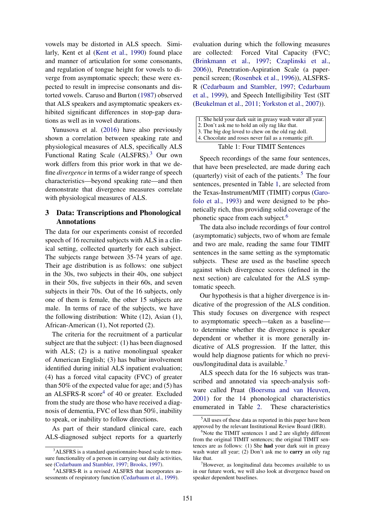vowels may be distorted in ALS speech. Similarly, Kent et al (Kent et al., 1990) found place and manner of articulation for some consonants, and regulation of tongue height for vowels to diverge from asymptomatic speech; these were expected to result in imprecise consonants and distorted vowels. Caruso and Burton (1987) observed that ALS speakers and asymptomatic speakers exhibited significant differences in stop-gap durations as well as in vowel durations.

Yunusova et al. (2016) have also previously shown a correlation between speaking rate and physiological measures of ALS, specifically ALS Functional Rating Scale (ALSFRS).<sup>3</sup> Our own work differs from this prior work in that we define *divergence* in terms of a wider range of speech characteristics—beyond speaking rate—and then demonstrate that divergence measures correlate with physiological measures of ALS.

## 3 Data: Transcriptions and Phonological Annotations

The data for our experiments consist of recorded speech of 16 recruited subjects with ALS in a clinical setting, collected quarterly for each subject. The subjects range between 35-74 years of age. Their age distribution is as follows: one subject in the 30s, two subjects in their 40s, one subject in their 50s, five subjects in their 60s, and seven subjects in their 70s. Out of the 16 subjects, only one of them is female, the other 15 subjects are male. In terms of race of the subjects, we have the following distribution: White (12), Asian (1), African-American (1), Not reported (2).

The criteria for the recruitment of a particular subject are that the subject: (1) has been diagnosed with ALS; (2) is a native monolingual speaker of American English; (3) has bulbar involvement identified during initial ALS inpatient evaluation; (4) has a forced vital capacity (FVC) of greater than 50% of the expected value for age; and (5) has an ALSFRS-R score<sup>4</sup> of 40 or greater. Excluded from the study are those who have received a diagnosis of dementia, FVC of less than 50%, inability to speak, or inability to follow directions.

As part of their standard clinical care, each ALS-diagnosed subject reports for a quarterly evaluation during which the following measures are collected: Forced Vital Capacity (FVC; (Brinkmann et al., 1997; Czaplinski et al., 2006)), Penetration-Aspiration Scale (a paperpencil screen; (Rosenbek et al., 1996)), ALSFRS-R (Cedarbaum and Stambler, 1997; Cedarbaum et al., 1999), and Speech Intelligibility Test (SIT (Beukelman et al., 2011; Yorkston et al., 2007)).

Table 1: Four TIMIT Sentences

Speech recordings of the same four sentences, that have been preselected, are made during each (quarterly) visit of each of the patients.<sup>5</sup> The four sentences, presented in Table 1, are selected from the Texas-Instrument/MIT (TIMIT) corpus (Garofolo et al., 1993) and were designed to be phonetically rich, thus providing solid coverage of the phonetic space from each subject.<sup>6</sup>

The data also include recordings of four control (asymptomatic) subjects, two of whom are female and two are male, reading the same four TIMIT sentences in the same setting as the symptomatic subjects. These are used as the baseline speech against which divergence scores (defined in the next section) are calculated for the ALS symptomatic speech.

Our hypothesis is that a higher divergence is indicative of the progression of the ALS condition. This study focuses on divergence with respect to asymptomatic speech—taken as a baseline to determine whether the divergence is speaker dependent or whether it is more generally indicative of ALS progression. If the latter, this would help diagnose patients for which no previous/longitudinal data is available.<sup>7</sup>

ALS speech data for the 16 subjects was transcribed and annotated via speech-analysis software called Praat (Boersma and van Heuven, 2001) for the 14 phonological characteristics enumerated in Table 2. These characteristics

<sup>&</sup>lt;sup>3</sup>ALSFRS is a standard questionnaire-based scale to measure functionality of a person in carrying out daily activities, see (Cedarbaum and Stambler, 1997; Brooks, 1997).

<sup>4</sup>ALSFRS-R is a revised ALSFRS that incorporates assessments of respiratory function (Cedarbaum et al., 1999).

 $<sup>5</sup>$ All uses of these data as reported in this paper have been</sup> approved by the relevant Institutional Review Board (IRB).

 $6$ Note the TIMIT sentences 1 and 2 are slightly different from the original TIMIT sentences; the original TIMIT sentences are as follows: (1) She had your dark suit in greasy wash water all year; (2) Don't ask me to **carry** an oily rag like that.

 $7$ However, as longitudinal data becomes available to us in our future work, we will also look at divergence based on speaker dependent baselines.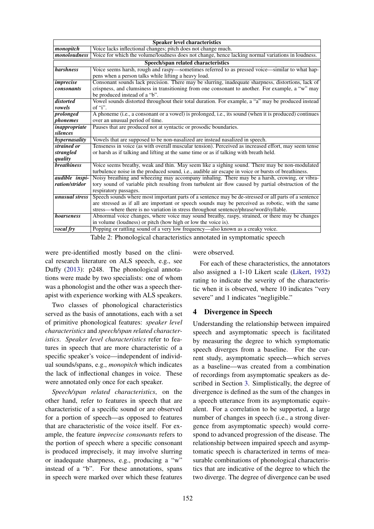| <b>Speaker level characteristics</b> |                                                                                                        |  |  |  |
|--------------------------------------|--------------------------------------------------------------------------------------------------------|--|--|--|
| monopitch                            | Voice lacks inflectional changes; pitch does not change much.                                          |  |  |  |
| monoloudness                         | Voice for which the volume/loudness does not change, hence lacking normal variations in loudness.      |  |  |  |
|                                      | Speech/span related characteristics                                                                    |  |  |  |
| harshness                            | Voice seems harsh, rough and raspy—sometimes referred to as pressed voice—similar to what hap-         |  |  |  |
|                                      | pens when a person talks while lifting a heavy load.                                                   |  |  |  |
| imprecise                            | Consonant sounds lack precision. There may be slurring, inadequate sharpness, distortions, lack of     |  |  |  |
| consonants                           | crispness, and clumsiness in transitioning from one consonant to another. For example, a "w" may       |  |  |  |
|                                      | be produced instead of a "b".                                                                          |  |  |  |
| distorted                            | Vowel sounds distorted throughout their total duration. For example, a "a" may be produced instead     |  |  |  |
| vowels                               | of " $i$ ".                                                                                            |  |  |  |
| prolonged                            | A phoneme (i.e., a consonant or a vowel) is prolonged, i.e., its sound (when it is produced) continues |  |  |  |
| <i>phonemes</i>                      | over an unusual period of time.                                                                        |  |  |  |
| <i>inappropriate</i>                 | Pauses that are produced not at syntactic or prosodic boundaries.                                      |  |  |  |
| silences                             |                                                                                                        |  |  |  |
| hypernasality                        | Vowels that are supposed to be non-nasalized are instead nasalized in speech.                          |  |  |  |
| strained or                          | Tenseness in voice (as with overall muscular tension). Perceived as increased effort, may seem tense   |  |  |  |
| strangled                            | or harsh as if talking and lifting at the same time or as if talking with breath held.                 |  |  |  |
| quality                              |                                                                                                        |  |  |  |
| <b>breathiness</b>                   | Voice seems breathy, weak and thin. May seem like a sighing sound. There may be non-modulated          |  |  |  |
|                                      | turbulence noise in the produced sound, i.e., audible air escape in voice or bursts of breathiness.    |  |  |  |
| <i>audible inspi-</i>                | Noisy breathing and wheezing may accompany inhaling. There may be a harsh, crowing, or vibra-          |  |  |  |
| ration/stridor                       | tory sound of variable pitch resulting from turbulent air flow caused by partial obstruction of the    |  |  |  |
|                                      | respiratory passages.                                                                                  |  |  |  |
| unusual stress                       | Speech sounds where most important parts of a sentence may be de-stressed or all parts of a sentence   |  |  |  |
|                                      | are stressed as if all are important or speech sounds may be perceived as robotic, with the same       |  |  |  |
|                                      | stress—where there is no variation in stress throughout sentence/phrase/word/syllable.                 |  |  |  |
| hoarseness                           | Abnormal voice changes, where voice may sound breathy, raspy, strained, or there may be changes        |  |  |  |
|                                      | in volume (loudness) or pitch (how high or low the voice is).                                          |  |  |  |
| <i>vocal fry</i>                     | Popping or rattling sound of a very low frequency—also known as a creaky voice.                        |  |  |  |

Table 2: Phonological characteristics annotated in symptomatic speech

were pre-identified mostly based on the clinical research literature on ALS speech, e.g., see Duffy (2013): p248. The phonological annotations were made by two specialists: one of whom was a phonologist and the other was a speech therapist with experience working with ALS speakers.

Two classes of phonological characteristics served as the basis of annotations, each with a set of primitive phonological features: *speaker level characteristics* and *speech/span related characteristics*. *Speaker level characteristics* refer to features in speech that are more characteristic of a specific speaker's voice—independent of individual sounds/spans, e.g., *monopitch* which indicates the lack of inflectional changes in voice. These were annotated only once for each speaker.

*Speech/span related characteristics*, on the other hand, refer to features in speech that are characteristic of a specific sound or are observed for a portion of speech—as opposed to features that are characteristic of the voice itself. For example, the feature *imprecise consonants* refers to the portion of speech where a specific consonant is produced imprecisely, it may involve slurring or inadequate sharpness, e.g., producing a "w" instead of a "b". For these annotations, spans in speech were marked over which these features

were observed.

For each of these characteristics, the annotators also assigned a 1-10 Likert scale (Likert, 1932) rating to indicate the severity of the characteristic when it is observed, where 10 indicates "very severe" and 1 indicates "negligible."

## 4 Divergence in Speech

Understanding the relationship between impaired speech and asymptomatic speech is facilitated by measuring the degree to which symptomatic speech diverges from a baseline. For the current study, asymptomatic speech—which serves as a baseline—was created from a combination of recordings from asymptomatic speakers as described in Section 3. Simplistically, the degree of divergence is defined as the sum of the changes in a speech utterance from its asymptomatic equivalent. For a correlation to be supported, a large number of changes in speech (i.e., a strong divergence from asymptomatic speech) would correspond to advanced progression of the disease. The relationship between impaired speech and asymptomatic speech is characterized in terms of measurable combinations of phonological characteristics that are indicative of the degree to which the two diverge. The degree of divergence can be used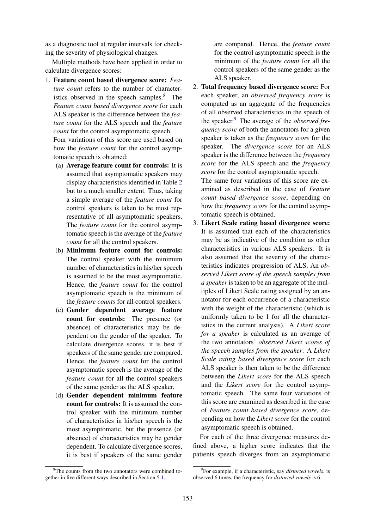as a diagnostic tool at regular intervals for checking the severity of physiological changes.

Multiple methods have been applied in order to calculate divergence scores:

1. Feature count based divergence score: *Feature count* refers to the number of characteristics observed in the speech samples.<sup>8</sup> The *Feature count based divergence score* for each ALS speaker is the difference between the *feature count* for the ALS speech and the *feature count* for the control asymptomatic speech. Four variations of this score are used based on

how the *feature count* for the control asymptomatic speech is obtained:

- (a) Average feature count for controls: It is assumed that asymptomatic speakers may display characteristics identified in Table 2 but to a much smaller extent. Thus, taking a simple average of the *feature count* for control speakers is taken to be most representative of all asymptomatic speakers. The *feature count* for the control asymptomatic speech is the average of the *feature count* for all the control speakers.
- (b) Minimum feature count for controls: The control speaker with the minimum number of characteristics in his/her speech is assumed to be the most asymptomatic. Hence, the *feature count* for the control asymptomatic speech is the minimum of the *feature counts* for all control speakers.
- (c) Gender dependent average feature count for controls: The presence (or absence) of characteristics may be dependent on the gender of the speaker. To calculate divergence scores, it is best if speakers of the same gender are compared. Hence, the *feature count* for the control asymptomatic speech is the average of the *feature count* for all the control speakers of the same gender as the ALS speaker.
- (d) Gender dependent minimum feature count for controls: It is assumed the control speaker with the minimum number of characteristics in his/her speech is the most asymptomatic, but the presence (or absence) of characteristics may be gender dependent. To calculate divergence scores, it is best if speakers of the same gender

 $8$ The counts from the two annotators were combined together in five different ways described in Section 5.1.

are compared. Hence, the *feature count* for the control asymptomatic speech is the minimum of the *feature count* for all the control speakers of the same gender as the ALS speaker.

2. Total frequency based divergence score: For each speaker, an *observed frequency score* is computed as an aggregate of the frequencies of all observed characteristics in the speech of the speaker.<sup>9</sup> The average of the *observed frequency score* of both the annotators for a given speaker is taken as the *frequency score* for the speaker. The *divergence score* for an ALS speaker is the difference between the *frequency score* for the ALS speech and the *frequency score* for the control asymptomatic speech.

The same four variations of this score are examined as described in the case of *Feature count based divergence score*, depending on how the *frequency score* for the control asymptomatic speech is obtained.

3. Likert Scale rating based divergence score: It is assumed that each of the characteristics may be as indicative of the condition as other characteristics in various ALS speakers. It is also assumed that the severity of the characteristics indicates progression of ALS. An *observed Likert score of the speech samples from a speaker*is taken to be an aggregate of the multiples of Likert Scale rating assigned by an annotator for each occurrence of a characteristic with the weight of the characteristic (which is uniformly taken to be 1 for all the characteristics in the current analysis). A *Likert score for a speaker* is calculated as an average of the two annotators' *observed Likert scores of the speech samples from the speaker*. A *Likert Scale rating based divergence score* for each ALS speaker is then taken to be the difference between the *Likert score* for the ALS speech and the *Likert score* for the control asymptomatic speech. The same four variations of this score are examined as described in the case of *Feature count based divergence score*, depending on how the *Likert score* for the control asymptomatic speech is obtained.

For each of the three divergence measures defined above, a higher score indicates that the patients speech diverges from an asymptomatic

<sup>9</sup> For example, if a characteristic, say *distorted vowels*, is observed 6 times, the frequency for *distorted vowels* is 6.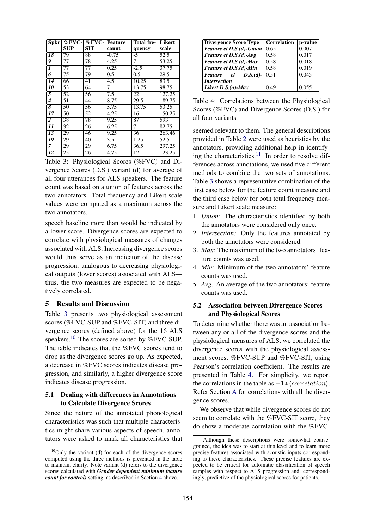| $S$ pkr $ $      |            | %FVC-  %FVC-  Feature |         | <b>Total fre-Likert</b> |        |
|------------------|------------|-----------------------|---------|-------------------------|--------|
|                  | <b>SUP</b> | <b>SIT</b>            | count   | quency                  | scale  |
| $\overline{18}$  | 79         | 88                    | $-0.75$ | $-5$                    | 52.5   |
| 9                | 77         | 78                    | 4.25    | 7                       | 53.25  |
| $\boldsymbol{l}$ | 77         | 77                    | 0.25    | $-2.5$                  | 37.75  |
| $\overline{6}$   | 75         | 79                    | 0.5     | $\overline{0.5}$        | 29.5   |
| 14               | 66         | 41                    | 4.5     | 10.25                   | 83.5   |
| 10               | 53         | 64                    | 7       | 13.75                   | 98.75  |
| 5                | 52         | 56                    | 7.5     | 22                      | 127.25 |
| 4                | 51         | 44                    | 8.75    | 29.5                    | 189.75 |
| 8                | 50         | 56                    | 5.75    | 13.75                   | 53.25  |
| $\overline{17}$  | 50         | 52                    | 4.25    | 16                      | 150.25 |
| $\overline{2}$   | 38         | 78                    | 9.25    | 87                      | 593    |
| 11               | 32         | 26                    | 6.25    | 7                       | 82.75  |
| $\overline{13}$  | 29         | 46                    | 9.25    | $\overline{3}6$         | 263.46 |
| 19               | 29         | 40                    | 3.5     | 1.25                    | 52.5   |
| 7                | 29         | 29                    | 6.75    | 36.5                    | 297.25 |
| $\overline{12}$  | 25         | 26                    | 4.75    | 12                      | 123.25 |

Table 3: Physiological Scores (%FVC) and Divergence Scores (D.S.) variant (d) for average of all four utterances for ALS speakers. The feature count was based on a union of features across the two annotators. Total frequency and Likert scale values were computed as a maximum across the two annotators.

speech baseline more than would be indicated by a lower score. Divergence scores are expected to correlate with physiological measures of changes associated with ALS. Increasing divergence scores would thus serve as an indicator of the disease progression, analogous to decreasing physiological outputs (lower scores) associated with ALS thus, the two measures are expected to be negatively correlated.

#### 5 Results and Discussion

Table 3 presents two physiological assessment scores (%FVC-SUP and %FVC-SIT) and three divergence scores (defined above) for the 16 ALS speakers.<sup>10</sup> The scores are sorted by %FVC-SUP. The table indicates that the %FVC scores tend to drop as the divergence scores go up. As expected, a decrease in %FVC scores indicates disease progression, and similarly, a higher divergence score indicates disease progression.

## 5.1 Dealing with differences in Annotations to Calculate Divergence Scores

Since the nature of the annotated phonological characteristics was such that multiple characteristics might share various aspects of speech, annotators were asked to mark all characteristics that

| Divergence Score Type                 | Correlation | p-value |
|---------------------------------------|-------------|---------|
| <b>Feature ct D.S.(d)-Union</b>       | 0.65        | 0.007   |
| Feature ct D.S.(d)-Avg                | 0.58        | 0.017   |
| Feature ct D.S.(d)-Max                | 0.58        | 0.018   |
| Feature ct D.S.(d)-Min                | 0.58        | 0.019   |
| <i>ct D.S.(d)</i> - $0.51$<br>Feature |             | 0.045   |
| <b>Intersection</b>                   |             |         |
| Likert $D.S.(a)$ -Max                 | 0.49        | 0.055   |

Table 4: Correlations between the Physiological Scores (%FVC) and Divergence Scores (D.S.) for all four variants

seemed relevant to them. The general descriptions provided in Table 2 were used as heuristics by the annotators, providing additional help in identifying the characteristics.<sup>11</sup> In order to resolve differences across annotations, we used five different methods to combine the two sets of annotations. Table 3 shows a representative combination of the first case below for the feature count measure and the third case below for both total frequency measure and Likert scale measure:

- 1. *Union:* The characteristics identified by both the annotators were considered only once.
- 2. *Intersection:* Only the features annotated by both the annotators were considered.
- 3. *Max:* The maximum of the two annotators' feature counts was used.
- 4. *Min:* Minimum of the two annotators' feature counts was used.
- 5. *Avg:* An average of the two annotators' feature counts was used.

## 5.2 Association between Divergence Scores and Physiological Scores

To determine whether there was an association between any or all of the divergence scores and the physiological measures of ALS, we correlated the divergence scores with the physiological assessment scores, %FVC-SUP and %FVC-SIT, using Pearson's correlation coefficient. The results are presented in Table 4. For simplicity, we report the correlations in the table as  $-1 \times \langle correlation \rangle$ . Refer Section A for correlations with all the divergence scores.

We observe that while divergence scores do not seem to correlate with the %FVC-SIT score, they do show a moderate correlation with the %FVC-

<sup>10</sup>Only the variant (d) for each of the divergence scores computed using the three methods is presented in the table to maintain clarity. Note variant (d) refers to the divergence scores calculated with *Gender dependent minimum feature count for controls* setting, as described in Section 4 above.

<sup>&</sup>lt;sup>11</sup>Although these descriptions were somewhat coarsegrained, the idea was to start at this level and to learn more precise features associated with acoustic inputs corresponding to these characteristics. These precise features are expected to be critical for automatic classification of speech samples with respect to ALS progression and, correspondingly, predictive of the physiological scores for patients.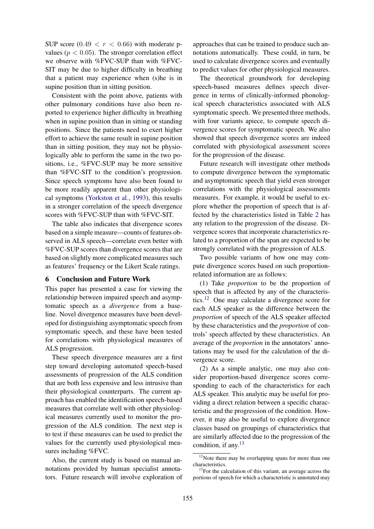SUP score  $(0.49 < r < 0.66)$  with moderate pvalues ( $p < 0.05$ ). The stronger correlation effect we observe with %FVC-SUP than with %FVC-SIT may be due to higher difficulty in breathing that a patient may experience when (s)he is in supine position than in sitting position.

Consistent with the point above, patients with other pulmonary conditions have also been reported to experience higher difficulty in breathing when in supine position than in sitting or standing positions. Since the patients need to exert higher effort to achieve the same result in supine position than in sitting position, they may not be physiologically able to perform the same in the two positions, i.e., %FVC-SUP may be more sensitive than %FVC-SIT to the condition's progression. Since speech symptoms have also been found to be more readily apparent than other physiological symptoms (Yorkston et al., 1993), this results in a stronger correlation of the speech divergence scores with %FVC-SUP than with %FVC-SIT.

The table also indicates that divergence scores based on a simple measure—counts of features observed in ALS speech—correlate even better with %FVC-SUP scores than divergence scores that are based on slightly more complicated measures such as features' frequency or the Likert Scale ratings.

## 6 Conclusion and Future Work

This paper has presented a case for viewing the relationship between impaired speech and asymptomatic speech as a *divergence* from a baseline. Novel divergence measures have been developed for distinguishing asymptomatic speech from symptomatic speech, and these have been tested for correlations with physiological measures of ALS progression.

These speech divergence measures are a first step toward developing automated speech-based assessments of progression of the ALS condition that are both less expensive and less intrusive than their physiological counterparts. The current approach has enabled the identification speech-based measures that correlate well with other physiological measures currently used to monitor the progression of the ALS condition. The next step is to test if these measures can be used to predict the values for the currently used physiological measures including %FVC.

Also, the current study is based on manual annotations provided by human specialist annotators. Future research will involve exploration of

approaches that can be trained to produce such annotations automatically. These could, in turn, be used to calculate divergence scores and eventually to predict values for other physiological measures.

The theoretical groundwork for developing speech-based measures defines speech divergence in terms of clinically-informed phonological speech characteristics associated with ALS symptomatic speech. We presented three methods, with four variants apiece, to compute speech divergence scores for symptomatic speech. We also showed that speech divergence scores are indeed correlated with physiological assessment scores for the progression of the disease.

Future research will investigate other methods to compute divergence between the symptomatic and asymptomatic speech that yield even stronger correlations with the physiological assessments measures. For example, it would be useful to explore whether the proportion of speech that is affected by the characteristics listed in Table 2 has any relation to the progression of the disease. Divergence scores that incorporate characteristics related to a proportion of the span are expected to be strongly correlated with the progression of ALS.

Two possible variants of how one may compute divergence scores based on such proportionrelated information are as follows:

(1) Take *proportion* to be the proportion of speech that is affected by any of the characteristics.<sup>12</sup> One may calculate a divergence score for each ALS speaker as the difference between the *proportion* of speech of the ALS speaker affected by these characteristics and the *proportion* of controls' speech affected by these characteristics. An average of the *proportion* in the annotators' annotations may be used for the calculation of the divergence score.

(2) As a simple analytic, one may also consider proportion-based divergence scores corresponding to each of the characteristics for each ALS speaker. This analytic may be useful for providing a direct relation between a specific characteristic and the progression of the condition. However, it may also be useful to explore divergence classes based on groupings of characteristics that are similarly affected due to the progression of the condition, if any.<sup>13</sup>

 $12$ Note there may be overlapping spans for more than one characteristics.

 $13$  For the calculation of this variant, an average across the portions of speech for which a characteristic is annotated may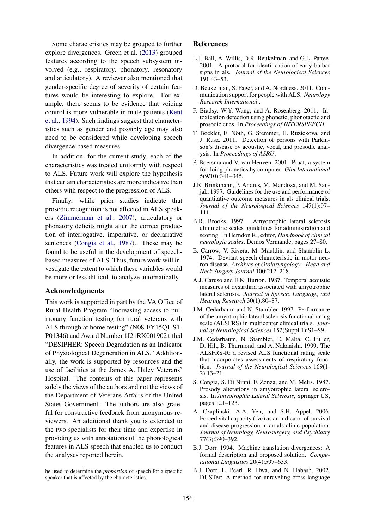Some characteristics may be grouped to further explore divergences. Green et al. (2013) grouped features according to the speech subsystem involved (e.g., respiratory, phonatory, resonatory and articulatory). A reviewer also mentioned that gender-specific degree of severity of certain features would be interesting to explore. For example, there seems to be evidence that voicing control is more vulnerable in male patients (Kent et al., 1994). Such findings suggest that characteristics such as gender and possibly age may also need to be considered while developing speech divergence-based measures.

In addition, for the current study, each of the characteristics was treated uniformly with respect to ALS. Future work will explore the hypothesis that certain characteristics are more indicative than others with respect to the progression of ALS.

Finally, while prior studies indicate that prosodic recognition is not affected in ALS speakers (Zimmerman et al., 2007), articulatory or phonatory deficits might alter the correct production of interrogative, imperative, or declariative sentences (Congia et al., 1987). These may be found to be useful in the development of speechbased measures of ALS. Thus, future work will investigate the extent to which these variables would be more or less difficult to analyze automatically.

#### Acknowledgments

This work is supported in part by the VA Office of Rural Health Program "Increasing access to pulmonary function testing for rural veterans with ALS through at home testing" (N08-FY15Q1-S1- P01346) and Award Number 1I21RX001902 titled "DESIPHER: Speech Degradation as an Indicator of Physiological Degeneration in ALS." Additionally, the work is supported by resources and the use of facilities at the James A. Haley Veterans' Hospital. The contents of this paper represents solely the views of the authors and not the views of the Department of Veterans Affairs or the United States Government. The authors are also grateful for constructive feedback from anonymous reviewers. An additional thank you is extended to the two specialists for their time and expertise in providing us with annotations of the phonological features in ALS speech that enabled us to conduct the analyses reported herein.

#### References

- L.J. Ball, A. Willis, D.R. Beukelman, and G.L. Pattee. 2001. A protocol for identification of early bulbar signs in als. *Journal of the Neurological Sciences* 191:43–53.
- D. Beukelman, S. Fager, and A. Nordness. 2011. Communication support for people with ALS. *Neurology Research International* .
- F. Biadsy, W.Y. Wang, and A. Rosenberg. 2011. Intoxication detection using phonetic, phonotactic and prosodic cues. In *Proceedings of INTERSPEECH*.
- T. Bocklet, E. Nöth, G. Stemmer, H. Ruzickova, and J. Rusz. 2011. Detection of persons with Parkinson's disease by acoustic, vocal, and prosodic analysis. In *Proceedings of ASRU*.
- P. Boersma and V. van Heuven. 2001. Praat, a system for doing phonetics by computer. *Glot International* 5(9/10):341–345.
- J.R. Brinkmann, P. Andres, M. Mendoza, and M. Sanjak. 1997. Guidelines for the use and performance of quantitative outcome measures in als clinical trials. *Journal of the Neurological Sciences* 147(1):97– 111.
- B.R. Brooks. 1997. Amyotrophic lateral sclerosis clinimetric scales guidelines for administration and scoring. In Herndon R., editor, *Handbook of clinical neurologic scales*, Demos Vermande, pages 27–80.
- E. Carrow, V. Rivera, M. Mauldin, and Shamblin L. 1974. Deviant speech characteristic in motor neuron disease. *Archives of Otolaryngology - Head and Neck Surgery Journal* 100:212–218.
- A.J. Caruso and E.K. Burton. 1987. Temporal acoustic measures of dysarthria associated with amyotrophic lateral sclerosis. *Journal of Speech, Language, and Hearing Research* 30(1):80–87.
- J.M. Cedarbaum and N. Stambler. 1997. Performance of the amyotrophic lateral sclerosis functional rating scale (ALSFRS) in multicenter clinical trials. *Journal of Neurological Sciences* 152(Suppl 1):S1–S9.
- J.M. Cedarbaum, N. Stambler, E. Malta, C. Fuller, D. Hilt, B. Thurmond, and A. Nakanishi. 1999. The ALSFRS-R: a revised ALS functional rating scale that incorporates assessments of respiratory function. *Journal of the Neurological Sciences* 169(1- 2):13–21.
- S. Congia, S. Di Ninni, F. Zonza, and M. Melis. 1987. Prosody alterations in amyotrophic lateral sclerosis. In *Amyotrophic Lateral Sclerosis*, Springer US, pages 121–123.
- A. Czaplinski, A.A. Yen, and S.H. Appel. 2006. Forced vital capacity (fvc) as an indicator of survival and disease progression in an als clinic population. *Journal of Neurology, Neurosurgery, and Psychiatry* 77(3):390–392.
- B.J. Dorr. 1994. Machine translation divergences: A formal description and proposed solution. *Computational Linguistics* 20(4):597–633.
- B.J. Dorr, L. Pearl, R. Hwa, and N. Habash. 2002. DUSTer: A method for unraveling cross-language

be used to determine the *proportion* of speech for a specific speaker that is affected by the characteristics.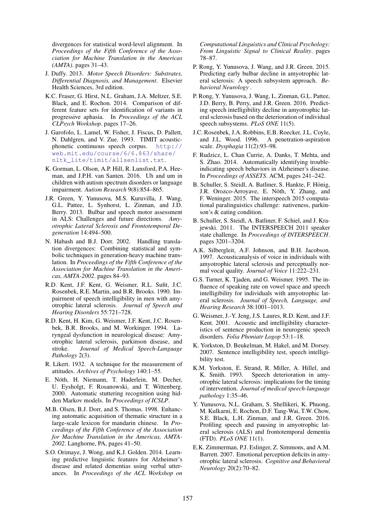divergences for statistical word-level alignment. In *Proceedings of the Fifth Conference of the Association for Machine Translation in the Americas (AMTA)*. pages 31–43.

- J. Duffy. 2013. *Motor Speech Disorders: Substrates, Differential Diagnosis, and Management*. Elsevier Health Sciences, 3rd edition.
- K.C. Fraser, G. Hirst, N.L. Graham, J.A. Meltzer, S.E. Black, and E. Rochon. 2014. Comparison of different feature sets for identification of variants in progressive aphasia. In *Proceedings of the ACL CLPsych Workshop*. pages 17–26.
- J. Garofolo, L. Lamel, W. Fisher, J. Fiscus, D. Pallett, N. Dahlgren, and V. Zue. 1993. TIMIT acousticphonetic continuous speech corpus. http:// web.mit.edu/course/6/6.863/share/ nltk\_lite/timit/allsenlist.txt.
- K. Gorman, L. Olson, A.P. Hill, R. Lunsford, P.A. Heeman, and J.P.H. van Santen. 2016. Uh and um in children with autism spectrum disorders or language impairment. *Autism Research* 9(8):854–865.
- J.R. Green, Y. Yunusova, M.S. Kuruvilla, J. Wang, G.L. Pattee, L. Synhorst, L. Zinman, and J.D. Berry. 2013. Bulbar and speech motor assessment in ALS: Challenges and future directions. *Amyotrophic Lateral Sclerosis and Frontotemporal Degeneration* 14:494–500.
- N. Habash and B.J. Dorr. 2002. Handling translation divergences: Combining statistical and symbolic techniques in generation-heavy machine translation. In *Proceedings of the Fifth Conference of the Association for Machine Translation in the Americas, AMTA-2002*. pages 84–93.
- R.D. Kent, J.F. Kent, G. Weismer, R.L. Sufit, J.C. Rosenbek, R.E. Martin, and B.R. Brooks. 1990. Impairment of speech intelligibility in men with amyotrophic lateral sclerosis. *Journal of Speech and Hearing Disorders* 55:721–728.
- R.D. Kent, H. Kim, G. Weismer, J.F. Kent, J.C. Rosenbek, B.R. Brooks, and M. Workinger. 1994. Laryngeal dysfunction in neurological disease: Amyotrophic lateral sclerosis, parkinson disease, and stroke. *Journal of Medical Speech-Language Pathology* 2(3).
- R. Likert. 1932. A technique for the measurement of attitudes. *Archives of Psychology* 140:1–55.
- E. Nöth, H. Niemann, T. Haderlein, M. Decher, U. Eysholgt, F. Rosanowski, and T. Wittenberg. 2000. Automatic stuttering recognition using hidden Markov models. In *Proceedings of ICSLP*.
- M.B. Olsen, B.J. Dorr, and S. Thomas. 1998. Enhancing automatic acquisition of thematic structure in a large-scale lexicon for mandarin chinese. In *Proceedings of the Fifth Conference of the Association for Machine Translation in the Americas, AMTA-2002*. Langhorne, PA, pages 41–50.
- S.O. Orimaye, J. Wong, and K.J. Golden. 2014. Learning predictive linguistic features for Alzheimer's disease and related dementias using verbal utterances. In *Proceedings of the ACL Workshop on*

*Computational Linguistics and Clinical Psychology: From Linguistic Signal to Clinical Reality*. pages 78–87.

- P. Rong, Y. Yunusova, J. Wang, and J.R. Green. 2015. Predicting early bulbar decline in amyotrophic lateral sclerosis: A speech subsystem approach. *Behavioral Neurology* .
- P. Rong, Y. Yunusova, J. Wang, L. Zinman, G.L. Pattee, J.D. Berry, B. Perry, and J.R. Green. 2016. Predicting speech intelligibility decline in amyotrophic lateral sclerosis based on the deterioration of individual speech subsystems. *PLoS ONE* 11(5).
- J.C. Rosenbek, J.A. Robbins, E.B. Roecker, J.L. Coyle, and J.L. Wood. 1996. A penetration-aspiration scale. *Dysphagia* 11(2):93–98.
- F. Rudzicz, L. Chan Currie, A. Danks, T. Mehta, and S. Zhao. 2014. Automatically identifying troubleindicating speech behaviors in Alzheimer's disease. In *Proceedings of ASSETS*. ACM, pages 241–242.
- B. Schuller, S. Steidl, A. Batliner, S. Hankte, F. Hönig, J.R. Orozco-Arroyave, E. Nöth, Y. Zhang, and F. Weninger. 2015. The interspeech 2015 computational paralinguistics challenge: nativeness, parkinson's & eating condition.
- B. Schuller, S. Steidl, A. Batliner, F. Schiel, and J. Krajewski. 2011. The INTERSPEECH 2011 speaker state challenge. In *Proceedings of INTERSPEECH*. pages 3201–3204.
- A.K. Silbergleit, A.F. Johnson, and B.H. Jacobson. 1997. Acousticanalysis of voice in individuals with amyotrophic lateral sclerosis and perceptually normal vocal quality. *Journal of Voice* 11:222–231.
- G.S. Turner, K. Tjaden, and G. Weismer. 1995. The influence of speaking rate on vowel space and speech intelligibility for individuals with amyotrophic lateral sclerosis. *Journal of Speech, Language, and Hearing Research* 38:1001–1013.
- G. Weismer, J.-Y. Jeng, J.S. Laures, R.D. Kent, and J.F. Kent. 2001. Acoustic and intelligibility characteristics of sentence production in neurogenic speech disorders. *Folia Phoniatr Logop* 53:1–18.
- K. Yorkston, D. Beukelman, M. Hakel, and M. Dorsey. 2007. Sentence intelligibility test, speech intelligibility test.
- K.M. Yorkston, E. Strand, R. Miller, A. Hillel, and K. Smith. 1993. Speech deterioration in amyotrophic lateral sclerosis: implications for the timing of intervention. *Journal of medical speech-language pathology* 1:35–46.
- Y. Yunusova, N.L. Graham, S. Shellikeri, K. Phuong, M. Kulkarni, E. Rochon, D.F. Tang-Wai, T.W. Chow, S.E. Black, L.H. Zinman, and J.R. Green. 2016. Profiling speech and pausing in amyotrophic lateral sclerosis (ALS) and frontotemporal dementia (FTD). *PLoS ONE* 11(1).
- E.K. Zimmerman, P.J. Eslinger, Z. Simmons, and A.M. Barrett. 2007. Emotional perception deficits in amyotrophic lateral sclerosis. *Cognitive and Behavioral Neurology* 20(2):70–82.